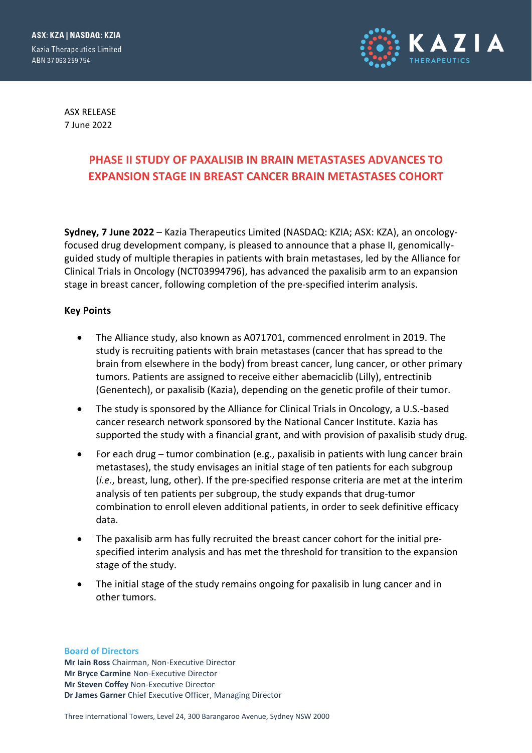

ASX RELEASE 7 June 2022

# **PHASE II STUDY OF PAXALISIB IN BRAIN METASTASES ADVANCES TO EXPANSION STAGE IN BREAST CANCER BRAIN METASTASES COHORT**

**Sydney, 7 June 2022** – Kazia Therapeutics Limited (NASDAQ: KZIA; ASX: KZA), an oncologyfocused drug development company, is pleased to announce that a phase II, genomicallyguided study of multiple therapies in patients with brain metastases, led by the Alliance for Clinical Trials in Oncology (NCT03994796), has advanced the paxalisib arm to an expansion stage in breast cancer, following completion of the pre-specified interim analysis.

#### **Key Points**

- The Alliance study, also known as A071701, commenced enrolment in 2019. The study is recruiting patients with brain metastases (cancer that has spread to the brain from elsewhere in the body) from breast cancer, lung cancer, or other primary tumors. Patients are assigned to receive either abemaciclib (Lilly), entrectinib (Genentech), or paxalisib (Kazia), depending on the genetic profile of their tumor.
- The study is sponsored by the Alliance for Clinical Trials in Oncology, a U.S.-based cancer research network sponsored by the National Cancer Institute. Kazia has supported the study with a financial grant, and with provision of paxalisib study drug.
- For each drug tumor combination (e.g., paxalisib in patients with lung cancer brain metastases), the study envisages an initial stage of ten patients for each subgroup (*i.e.*, breast, lung, other). If the pre-specified response criteria are met at the interim analysis of ten patients per subgroup, the study expands that drug-tumor combination to enroll eleven additional patients, in order to seek definitive efficacy data.
- The paxalisib arm has fully recruited the breast cancer cohort for the initial prespecified interim analysis and has met the threshold for transition to the expansion stage of the study.
- The initial stage of the study remains ongoing for paxalisib in lung cancer and in other tumors.

**Board of Directors**

**Mr Iain Ross** Chairman, Non-Executive Director **Mr Bryce Carmine** Non-Executive Director **Mr Steven Coffey** Non-Executive Director **Dr James Garner** Chief Executive Officer, Managing Director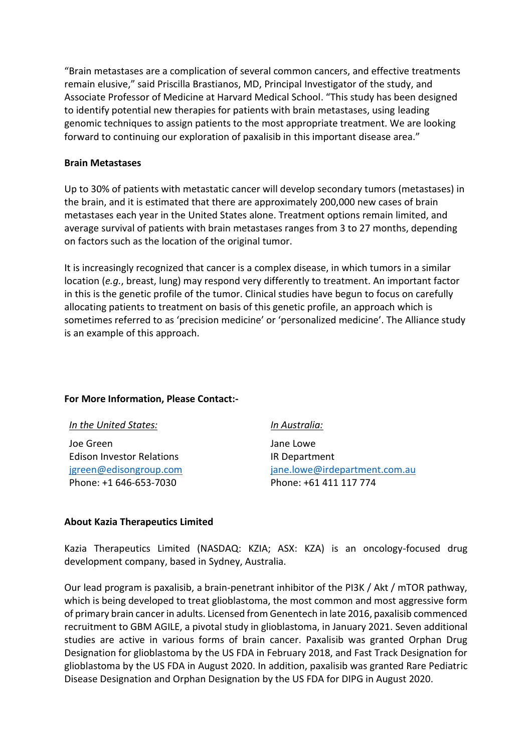"Brain metastases are a complication of several common cancers, and effective treatments remain elusive," said Priscilla Brastianos, MD, Principal Investigator of the study, and Associate Professor of Medicine at Harvard Medical School. "This study has been designed to identify potential new therapies for patients with brain metastases, using leading genomic techniques to assign patients to the most appropriate treatment. We are looking forward to continuing our exploration of paxalisib in this important disease area."

#### **Brain Metastases**

Up to 30% of patients with metastatic cancer will develop secondary tumors (metastases) in the brain, and it is estimated that there are approximately 200,000 new cases of brain metastases each year in the United States alone. Treatment options remain limited, and average survival of patients with brain metastases ranges from 3 to 27 months, depending on factors such as the location of the original tumor.

It is increasingly recognized that cancer is a complex disease, in which tumors in a similar location (*e.g.*, breast, lung) may respond very differently to treatment. An important factor in this is the genetic profile of the tumor. Clinical studies have begun to focus on carefully allocating patients to treatment on basis of this genetic profile, an approach which is sometimes referred to as 'precision medicine' or 'personalized medicine'. The Alliance study is an example of this approach.

## **For More Information, Please Contact:-**

| In the United States:            | In Australia:                 |
|----------------------------------|-------------------------------|
| Joe Green                        | Jane Lowe                     |
| <b>Edison Investor Relations</b> | IR Department                 |
| jgreen@edisongroup.com           | jane.lowe@irdepartment.com.au |
| Phone: +1 646-653-7030           | Phone: +61 411 117 774        |

#### **About Kazia Therapeutics Limited**

Kazia Therapeutics Limited (NASDAQ: KZIA; ASX: KZA) is an oncology-focused drug development company, based in Sydney, Australia.

Our lead program is paxalisib, a brain-penetrant inhibitor of the PI3K / Akt / mTOR pathway, which is being developed to treat glioblastoma, the most common and most aggressive form of primary brain cancer in adults. Licensed from Genentech in late 2016, paxalisib commenced recruitment to GBM AGILE, a pivotal study in glioblastoma, in January 2021. Seven additional studies are active in various forms of brain cancer. Paxalisib was granted Orphan Drug Designation for glioblastoma by the US FDA in February 2018, and Fast Track Designation for glioblastoma by the US FDA in August 2020. In addition, paxalisib was granted Rare Pediatric Disease Designation and Orphan Designation by the US FDA for DIPG in August 2020.